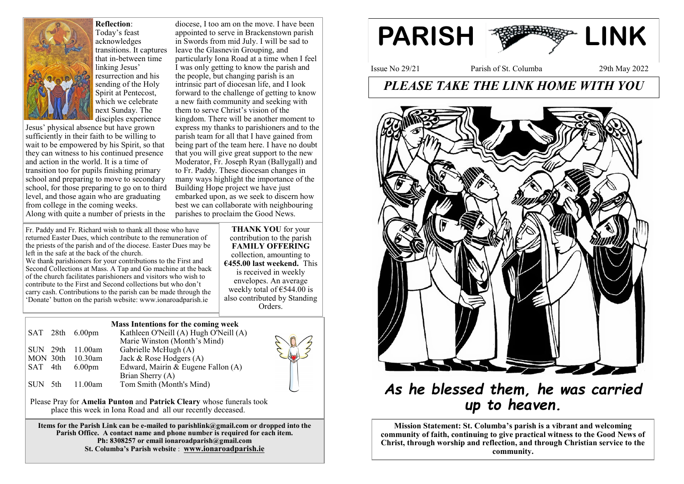

### **Reflection**:

Today's feast acknowledges transitions. It captures that in-between time linking Jesus' resurrection and his sending of the Holy Spirit at Pentecost, which we celebrate next Sunday. The disciples experience

Jesus' physical absence but have grown sufficiently in their faith to be willing to wait to be empowered by his Spirit, so that they can witness to his continued presence and action in the world. It is a time of transition too for pupils finishing primary school and preparing to move to secondary school, for those preparing to go on to third level, and those again who are graduating from college in the coming weeks. Along with quite a number of priests in the

appointed to serve in Brackenstown parish in Swords from mid July. I will be sad to leave the Glasnevin Grouping, and particularly Iona Road at a time when I feel I was only getting to know the parish and the people, but changing parish is an intrinsic part of diocesan life, and I look forward to the challenge of getting to know a new faith community and seeking with them to serve Christ's vision of the kingdom. There will be another moment to express my thanks to parishioners and to the parish team for all that I have gained from being part of the team here. I have no doubt that you will give great support to the new Moderator, Fr. Joseph Ryan (Ballygall) and to Fr. Paddy. These diocesan changes in many ways highlight the importance of the Building Hope project we have just embarked upon, as we seek to discern how best we can collaborate with neighbouring parishes to proclaim the Good News.

diocese, I too am on the move. I have been

Fr. Paddy and Fr. Richard wish to thank all those who have returned Easter Dues, which contribute to the remuneration of the priests of the parish and of the diocese. Easter Dues may be left in the safe at the back of the church.

We thank parishioners for your contributions to the First and Second Collections at Mass. A Tap and Go machine at the back of the church facilitates parishioners and visitors who wish to contribute to the First and Second collections but who don't carry cash. Contributions to the parish can be made through the 'Donate' button on the parish website: www.ionaroadparish.ie

**THANK YOU** for your contribution to the parish **FAMILY OFFERING** collection, amounting to **€455.00 last weekend.** This is received in weekly envelopes. An average weekly total of  $€544.00$  is also contributed by Standing Orders.

#### **Mass Intentions for the coming week**

|          | $SAT$ 28th $6.00 \text{pm}$ | Kathleen O'Neill (A) Hugh O'Neill (A) |
|----------|-----------------------------|---------------------------------------|
|          |                             | Marie Winston (Month's Mind)          |
|          | SUN 29th 11.00am            | Gabrielle McHugh (A)                  |
| MON 30th | $10.30$ am                  | Jack & Rose Hodgers (A)               |
| SAT 4th  | 6.00 <sub>pm</sub>          | Edward, Mairín & Eugene Fallon (A)    |
|          |                             | Brian Sherry (A)                      |
| SUN 5th  | 11.00am                     | Tom Smith (Month's Mind)              |

Please Pray for **Amelia Punton** and **Patrick Cleary** whose funerals took place this week in Iona Road and all our recently deceased.

**Items for the Parish Link can be e-mailed to parishlink@gmail.com or dropped into the**  Parish Office. A contact name and phone number is required for each item. **Ph: 8308257 or email ionaroadparish@gmail.com St. Columba's Parish website** : **www.ionaroadparish.ie** 



## *PLEASE TAKE THE LINK HOME WITH YOU*



# *As he blessed them, he was carried up to heaven.*

**Mission Statement: St. Columba's parish is a vibrant and welcoming community of faith, continuing to give practical witness to the Good News of Christ, through worship and reflection, and through Christian service to the community.**